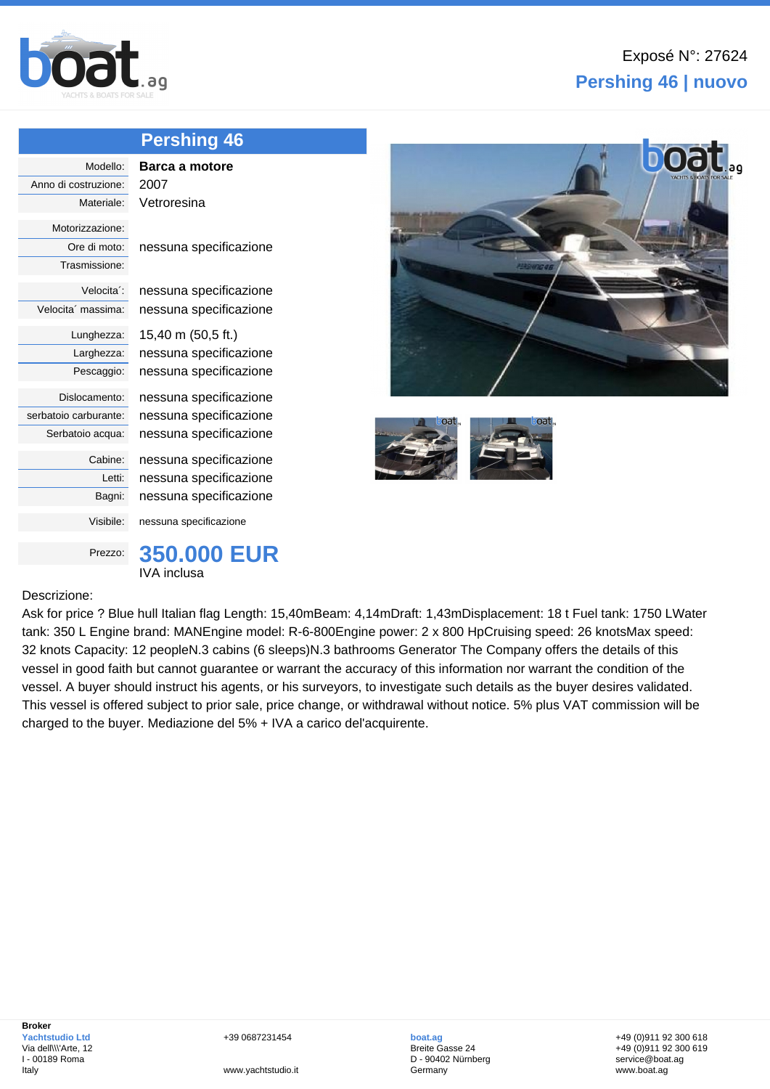

## **Pershing 46 | nuovo**

|                         | <b>Pershing 46</b>     |
|-------------------------|------------------------|
| Modello:                | Barca a motore         |
| Anno di costruzione:    | 2007                   |
| Materiale:              | Vetroresina            |
| Motorizzazione:         |                        |
| Ore di moto:            | nessuna specificazione |
| Trasmissione:           |                        |
| Velocita <sup>"</sup> : | nessuna specificazione |
| Velocita' massima:      | nessuna specificazione |
| Lunghezza:              | 15,40 m (50,5 ft.)     |
| Larghezza:              | nessuna specificazione |
| Pescaggio:              | nessuna specificazione |
| Dislocamento:           | nessuna specificazione |
| serbatoio carburante:   | nessuna specificazione |
| Serbatoio acqua:        | nessuna specificazione |
| Cabine:                 | nessuna specificazione |
| Letti:                  | nessuna specificazione |
| Bagni:                  | nessuna specificazione |
| Visibile:               | nessuna specificazione |
| Prezzo:                 | <b>350,000 EUR</b>     |
|                         | IVA inclusa            |





## Descrizione:

Ask for price ? Blue hull Italian flag Length: 15,40mBeam: 4,14mDraft: 1,43mDisplacement: 18 t Fuel tank: 1750 LWater tank: 350 L Engine brand: MANEngine model: R-6-800Engine power: 2 x 800 HpCruising speed: 26 knotsMax speed: 32 knots Capacity: 12 peopleN.3 cabins (6 sleeps)N.3 bathrooms Generator The Company offers the details of this vessel in good faith but cannot guarantee or warrant the accuracy of this information nor warrant the condition of the vessel. A buyer should instruct his agents, or his surveyors, to investigate such details as the buyer desires validated. This vessel is offered subject to prior sale, price change, or withdrawal without notice. 5% plus VAT commission will be charged to the buyer. Mediazione del 5% + IVA a carico del'acquirente.

**boat.ag** Breite Gasse 24 D - 90402 Nürnberg Germany

+49 (0)911 92 300 618 +49 (0)911 92 300 619 service@boat.ag www.boat.ag

www.yachtstudio.it